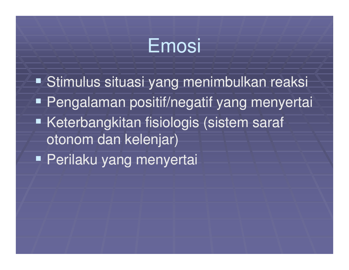### Emosi

■ Stimulus situasi yang menimbulkan reaksi Pengalaman positif/negatif yang menyertai ■ Keterbangkitan fisiologis (sistem saraf otonom dan kelenjar)Perilaku yang menyertai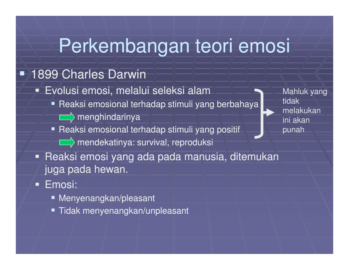### Perkembangan teori emosi

#### **Service Service** 1899 Charles Darwin

- Evolusi emosi, melalui seleksi alam
	- $\textcolor{red}{\bullet}$  Reaksi emosional terhadap stimuli yang berbahaya $\big\vert$

 $\implies$  menghindarinya

Mahluk yang tidak melakukan ini akan punah

- **Reaksi emosional terhadap stimuli yang positif** mendekatinya: survival, reproduksi
- Reaksi emosi yang ada pada manusia, ditemukan juga pada hewan.
- Emosi:
	- Menyenangkan/pleasant
	- Tidak menyenangkan/unpleasant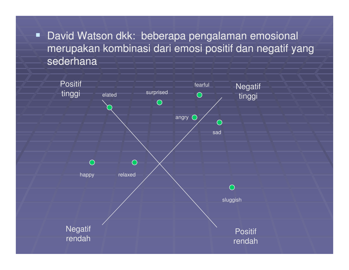■ David Watson dkk: beberapa pengalaman emosional merupakan kombinasi dari emosi positif dan negatif yang sederhana

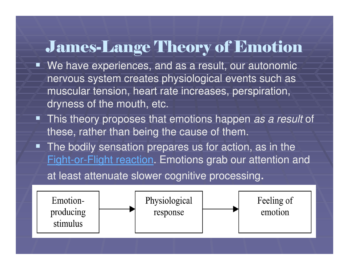## James-Lange Theory of Emotion

- We have experiences, and as a result, our autonomic nervous system creates physiological events such as muscular tension, heart rate increases, perspiration, dryness of the mouth, etc.
- **This theory proposes that emotions happen as a result of** these, rather than being the cause of them.
- The bodily sensation prepares us for action, as in the <u>Fight-or-Flight reaction</u>. Emotions grab our attention and

at least attenuate slower cognitive processing.

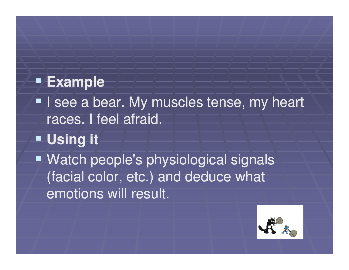### **Example**

- **I** see a bear. My muscles tense, my heart races. I feel afraid.
- **Using it**

■ Watch people's physiological signals (facial color, etc.) and deduce what emotions will result.

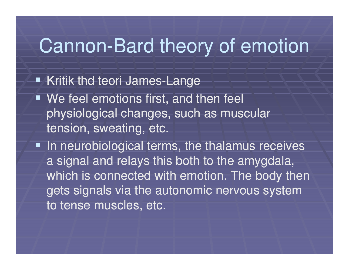# Cannon-Bard theory of emotion

### ■ Kritik thd teori James-Lange

- We feel emotions first, and then feel physiological changes, such as muscular tension, sweating, etc.
- In neurobiological terms, the thalamus receives a signal and relays this both to the amygdala, which is connected with emotion. The body then gets signals via the autonomic nervous system to tense muscles, etc.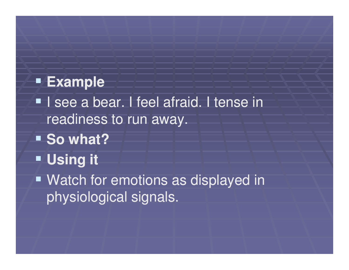### **Example**

- **I** see a bear. I feel afraid. I tense in readiness to run away.
- **So what?**
- **Using it**
- Watch for emotions as displayed in physiological signals.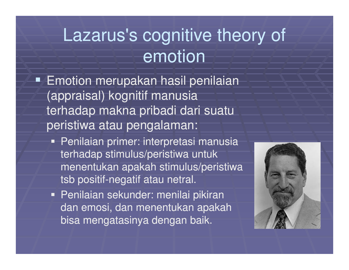### Lazarus's cognitive theory of emotion

- Emotion merupakan hasil penilaian (appraisal) kognitif manusia terhadap makna pribadi dari suatu peristiwa atau pengalaman:
	- **Penilaian primer: interpretasi manusia** terhadap stimulus/peristiwa untuk menentukan apakah stimulus/peristiwa tsb positif-negatif atau netral.
	- Penilaian sekunder: menilai pikiran dan emosi, dan menentukan apakah bisa mengatasinya dengan baik.

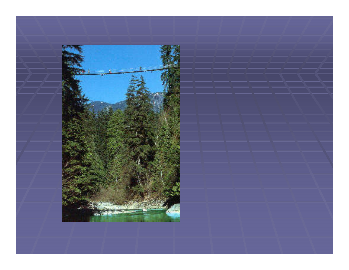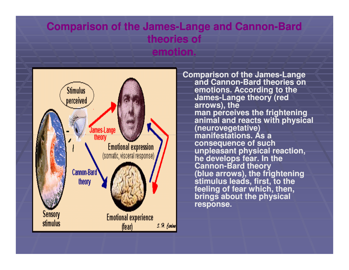#### **Comparison of the James-Lange and Cannon-Bard theories of emotion.**



**Comparison of the James James-Lange and Cannon Cannon-Bard theories on Bard emotions. According to the James-Lange theory (red Lange arrows), the man perceives the frightening animal and reacts with physical (neurovegetative) manifestations. As a consequence of such** unpleasant physical reaction,<br>he develops fear. In the<br>Cannon-Bard theory<br>(blue arrows), the frightening<br>stimulus leads, first, to the **feeling of fear which, then, brings about the physical response.**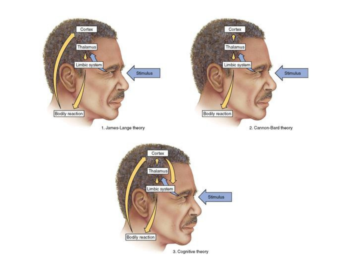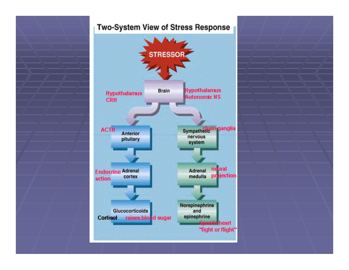

#### Two-System View of Stress Response

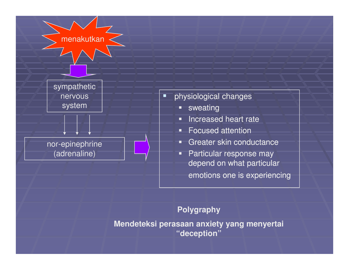

#### **Polygraphy**

**Mendeteksi perasaan anxiety yang menyertai "deception"**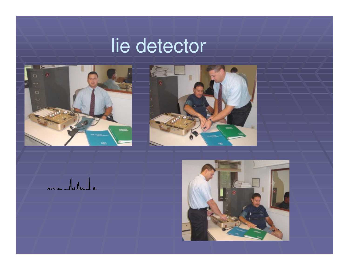### lie detector





an an alberta da

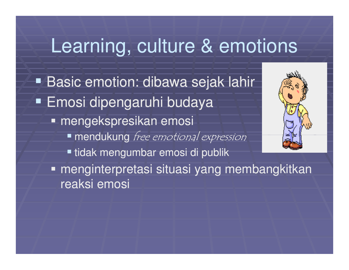### Learning, culture & emotions

■ Basic emotion: dibawa sejak lahir ■ Emosi dipengaruhi budaya mengekspresikan emosi **mendukung** free emotional expression ■ tidak mengumbar emosi di publik



 menginterpretasi situasi yang membangkitkan reaksi emosi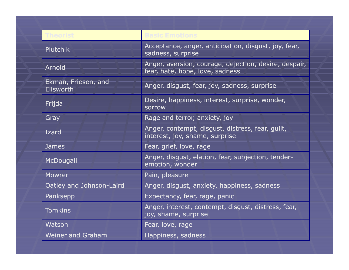| Theorist                         | <b>Basic Emotions</b>                                                                    |
|----------------------------------|------------------------------------------------------------------------------------------|
| Plutchik                         | Acceptance, anger, anticipation, disgust, joy, fear,<br>sadness, surprise                |
| Arnold                           | Anger, aversion, courage, dejection, desire, despair,<br>fear, hate, hope, love, sadness |
| Ekman, Friesen, and<br>Ellsworth | Anger, disgust, fear, joy, sadness, surprise                                             |
| Frijda                           | Desire, happiness, interest, surprise, wonder,<br>sorrow                                 |
| Gray                             | Rage and terror, anxiety, joy                                                            |
| Izard                            | Anger, contempt, disgust, distress, fear, guilt,<br>interest, joy, shame, surprise       |
| <b>James</b>                     | Fear, grief, love, rage                                                                  |
| McDougall                        | Anger, disgust, elation, fear, subjection, tender-<br>emotion, wonder                    |
| Mowrer                           | Pain, pleasure                                                                           |
| Oatley and Johnson-Laird         | Anger, disgust, anxiety, happiness, sadness                                              |
| Panksepp                         | Expectancy, fear, rage, panic                                                            |
| <b>Tomkins</b>                   | Anger, interest, contempt, disgust, distress, fear,<br>joy, shame, surprise              |
| Watson                           | Fear, love, rage                                                                         |
| <b>Weiner and Graham</b>         | Happiness, sadness                                                                       |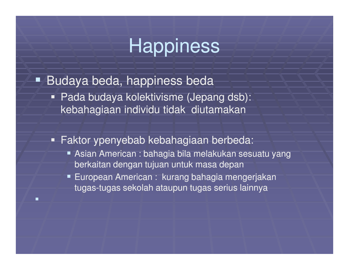### **Happiness**

Budaya beda, happiness beda

 Pada budaya kolektivisme (Jepang dsb): kebahagiaan individu tidak diutamakan

#### Faktor ypenyebab kebahagiaan berbeda:

- Asian American : bahagia bila melakukan sesuatu yang berkaitan dengan tujuan untuk masa depan
- European American : kurang bahagia mengerjakan tugas-tugas sekolah ataupun tugas serius lainnya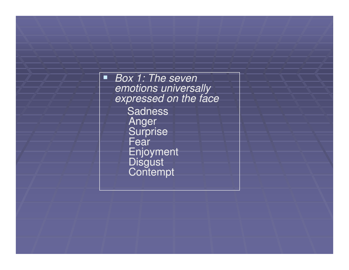Box 1: The seven emotions universally expressed on the face**Sadness**  Anger Surprise FearEnjoyment Disgust Contempt

 $\blacksquare$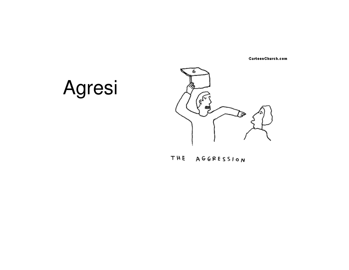CartoonChurch.com

### Agresi



THE AGGRESSION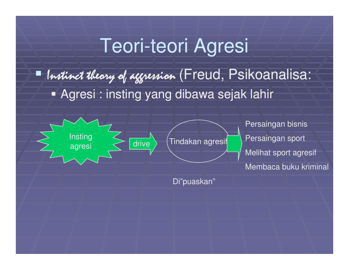